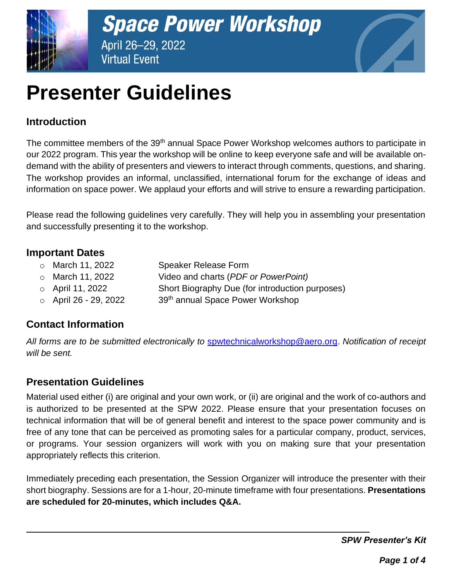



# **Presenter Guidelines**

# **Introduction**

The committee members of the 39<sup>th</sup> annual Space Power Workshop welcomes authors to participate in our 2022 program. This year the workshop will be online to keep everyone safe and will be available ondemand with the ability of presenters and viewers to interact through comments, questions, and sharing. The workshop provides an informal, unclassified, international forum for the exchange of ideas and information on space power. We applaud your efforts and will strive to ensure a rewarding participation.

Please read the following guidelines very carefully. They will help you in assembling your presentation and successfully presenting it to the workshop.

## **Important Dates**

- o March 11, 2022 Speaker Release Form
- o March 11, 2022 Video and charts (*PDF or PowerPoint)*
- o April 11, 2022 Short Biography Due (for introduction purposes)
- $\circ$  April 26 29, 2022 39<sup>th</sup> annual Space Power Workshop

# **Contact Information**

*All forms are to be submitted electronically to* [spwtechnicalworkshop@aero.org.](mailto:spwtechnicalworkshop@aero.org) *Notification of receipt will be sent.*

# **Presentation Guidelines**

Material used either (i) are original and your own work, or (ii) are original and the work of co-authors and is authorized to be presented at the SPW 2022. Please ensure that your presentation focuses on technical information that will be of general benefit and interest to the space power community and is free of any tone that can be perceived as promoting sales for a particular company, product, services, or programs. Your session organizers will work with you on making sure that your presentation appropriately reflects this criterion.

Immediately preceding each presentation, the Session Organizer will introduce the presenter with their short biography. Sessions are for a 1-hour, 20-minute timeframe with four presentations. **Presentations are scheduled for 20-minutes, which includes Q&A.**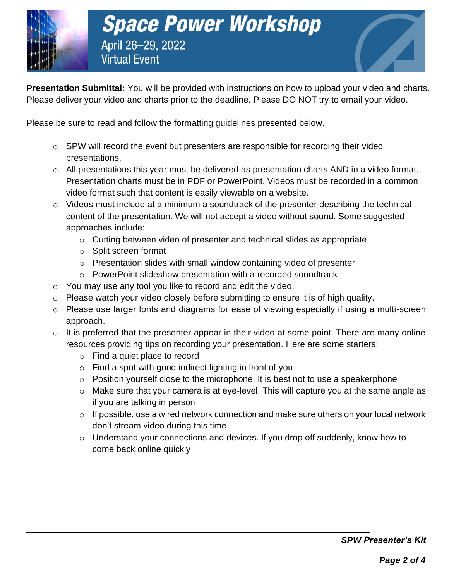

**Presentation Submittal:** You will be provided with instructions on how to upload your video and charts. Please deliver your video and charts prior to the deadline. Please DO NOT try to email your video.

Please be sure to read and follow the formatting guidelines presented below.

- o SPW will record the event but presenters are responsible for recording their video presentations.
- o All presentations this year must be delivered as presentation charts AND in a video format. Presentation charts must be in PDF or PowerPoint. Videos must be recorded in a common video format such that content is easily viewable on a website.
- o Videos must include at a minimum a soundtrack of the presenter describing the technical content of the presentation. We will not accept a video without sound. Some suggested approaches include:
	- o Cutting between video of presenter and technical slides as appropriate
	- o Split screen format
	- o Presentation slides with small window containing video of presenter
	- o PowerPoint slideshow presentation with a recorded soundtrack
- o You may use any tool you like to record and edit the video.
- o Please watch your video closely before submitting to ensure it is of high quality.
- o Please use larger fonts and diagrams for ease of viewing especially if using a multi-screen approach.
- $\circ$  It is preferred that the presenter appear in their video at some point. There are many online resources providing tips on recording your presentation. Here are some starters:
	- o Find a quiet place to record
	- o Find a spot with good indirect lighting in front of you
	- $\circ$  Position yourself close to the microphone. It is best not to use a speakerphone
	- o Make sure that your camera is at eye-level. This will capture you at the same angle as if you are talking in person
	- $\circ$  If possible, use a wired network connection and make sure others on your local network don't stream video during this time
	- o Understand your connections and devices. If you drop off suddenly, know how to come back online quickly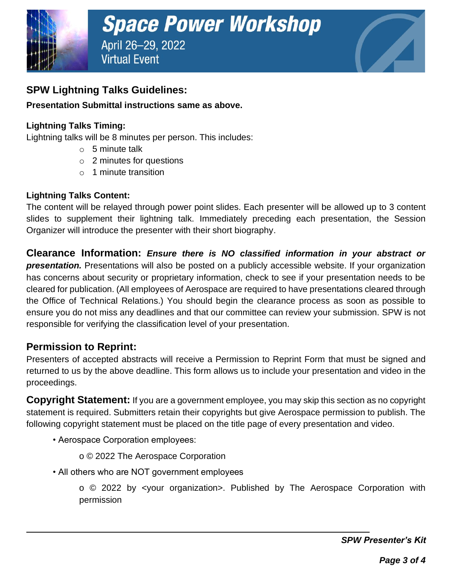

## **SPW Lightning Talks Guidelines:**

#### **Presentation Submittal instructions same as above.**

#### **Lightning Talks Timing:**

Lightning talks will be 8 minutes per person. This includes:

- $\circ$  5 minute talk
- $\circ$  2 minutes for questions
- $\circ$  1 minute transition

#### **Lightning Talks Content:**

The content will be relayed through power point slides. Each presenter will be allowed up to 3 content slides to supplement their lightning talk. Immediately preceding each presentation, the Session Organizer will introduce the presenter with their short biography.

**Clearance Information:** *Ensure there is NO classified information in your abstract or presentation.* Presentations will also be posted on a publicly accessible website. If your organization has concerns about security or proprietary information, check to see if your presentation needs to be cleared for publication. (All employees of Aerospace are required to have presentations cleared through the Office of Technical Relations.) You should begin the clearance process as soon as possible to ensure you do not miss any deadlines and that our committee can review your submission. SPW is not responsible for verifying the classification level of your presentation.

### **Permission to Reprint:**

Presenters of accepted abstracts will receive a Permission to Reprint Form that must be signed and returned to us by the above deadline. This form allows us to include your presentation and video in the proceedings.

**Copyright Statement:** If you are a government employee, you may skip this section as no copyright statement is required. Submitters retain their copyrights but give Aerospace permission to publish. The following copyright statement must be placed on the title page of every presentation and video.

• Aerospace Corporation employees:

o © 2022 The Aerospace Corporation

• All others who are NOT government employees

o © 2022 by <your organization>. Published by The Aerospace Corporation with permission